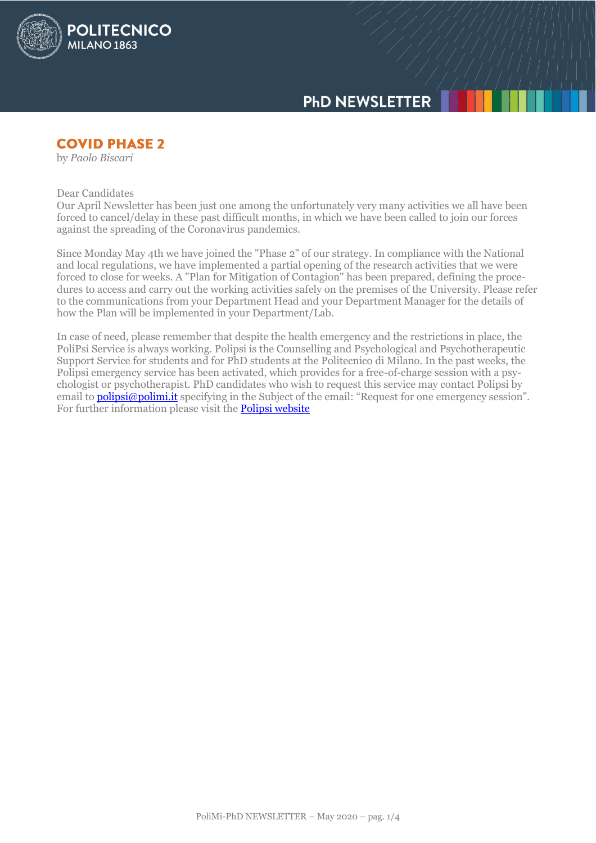

# **COVID PHASE 2**

**POLITECNICO** 

**MILANO 1863** 

by *Paolo Biscari*

Dear Candidates

Our April Newsletter has been just one among the unfortunately very many activities we all have been forced to cancel/delay in these past difficult months, in which we have been called to join our forces against the spreading of the Coronavirus pandemics.

Since Monday May 4th we have joined the "Phase 2" of our strategy. In compliance with the National and local regulations, we have implemented a partial opening of the research activities that we were forced to close for weeks. A "Plan for Mitigation of Contagion" has been prepared, defining the procedures to access and carry out the working activities safely on the premises of the University. Please refer to the communications from your Department Head and your Department Manager for the details of how the Plan will be implemented in your Department/Lab.

In case of need, please remember that despite the health emergency and the restrictions in place, the PoliPsi Service is always working. Polipsi is the Counselling and Psychological and Psychotherapeutic Support Service for students and for PhD students at the Politecnico di Milano. In the past weeks, the Polipsi emergency service has been activated, which provides for a free-of-charge session with a psychologist or psychotherapist. PhD candidates who wish to request this service may contact Polipsi by email to **polipsi@polimi.it** specifying in the Subject of the email: "Request for one emergency session". For further information please visit the **Polipsi website**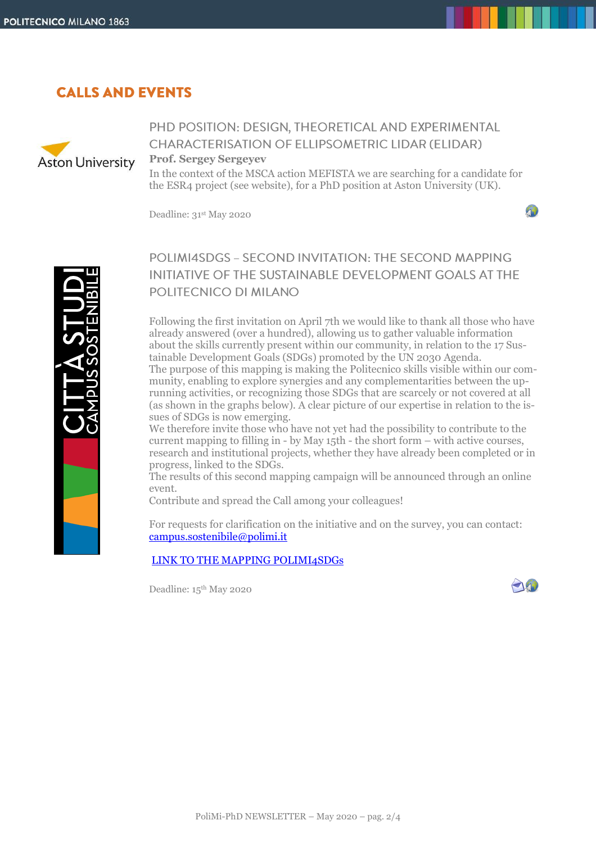# **CALLS AND EVENTS**



# PHD POSITION: DESIGN, THEORETICAL AND EXPERIMENTAL **CHARACTERISATION OF ELLIPSOMETRIC LIDAR (ELIDAR)**

#### **Prof. Sergey Sergeyev**

In the context of the MSCA action MEFISTA we are searching for a candidate for the ESR4 project (see website), for a PhD position at Aston University (UK).

Deadline: 31st May 2020

40



# POLIMI4SDGS - SECOND INVITATION: THE SECOND MAPPING INITIATIVE OF THE SUSTAINABLE DEVELOPMENT GOALS AT THE POLITECNICO DI MILANO

Following the first invitation on April 7th we would like to thank all those who have already answered (over a hundred), allowing us to gather valuable information about the skills currently present within our community, in relation to the 17 Sustainable Development Goals (SDGs) promoted by the UN 2030 Agenda. The purpose of this mapping is making the Politecnico skills visible within our community, enabling to explore synergies and any complementarities between the uprunning activities, or recognizing those SDGs that are scarcely or not covered at all (as shown in the graphs below). A clear picture of our expertise in relation to the issues of SDGs is now emerging.

We therefore invite those who have not yet had the possibility to contribute to the current mapping to filling in - by May 15th - the short form – with active courses, research and institutional projects, whether they have already been completed or in progress, linked to the SDGs.

The results of this second mapping campaign will be announced through an online event.

Contribute and spread the Call among your colleagues!

For requests for clarification on the initiative and on the survey, you can contact: [campus.sostenibile@polimi.it](mailto:campus.sostenibile@polimi.it)

#### [LINK TO THE MAPPING POLIMI4SDGs](http://www.campus-sostenibile.polimi.it/polimi4sdgs1)

Deadline: 15th May 2020

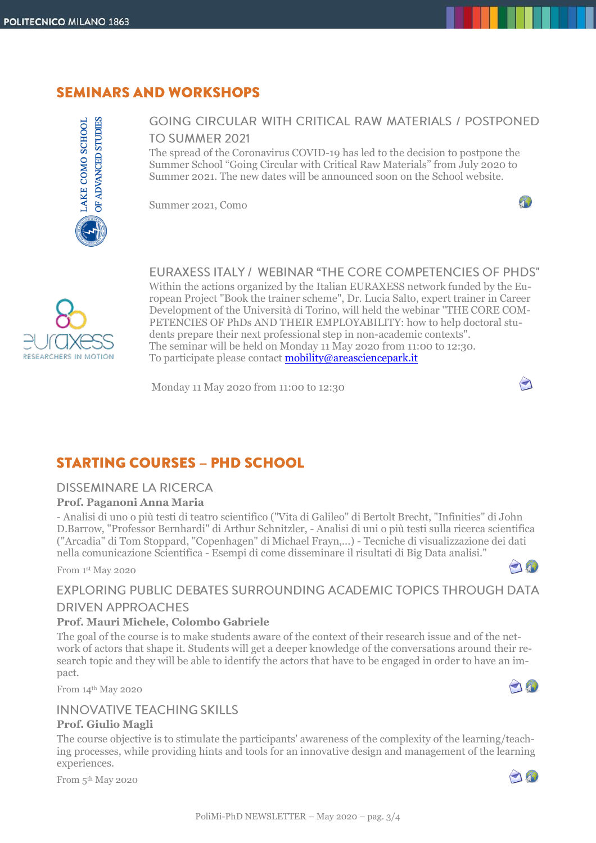# **SEMINARS AND WORKSHOPS**



## **GOING CIRCULAR WITH CRITICAL RAW MATERIALS / POSTPONED** TO SUMMER 2021

The spread of the Coronavirus COVID-19 has led to the decision to postpone the Summer School "Going Circular with Critical Raw Materials" from July 2020 to Summer 2021. The new dates will be announced soon on the School website.

Summer 2021, Como



FURAXESS ITALY / WEBINAR "THE CORE COMPETENCIES OF PHDS"

40

 $\bigodot$ 

70

10

0

Within the actions organized by the Italian EURAXESS network funded by the European Project "Book the trainer scheme", Dr. Lucia Salto, expert trainer in Career Development of the Università di Torino, will held the webinar "THE CORE COM-PETENCIES OF PhDs AND THEIR EMPLOYABILITY: how to help doctoral students prepare their next professional step in non-academic contexts". The seminar will be held on Monday 11 May 2020 from 11:00 to 12:30. To participate please contact [mobility@areasciencepark.it](mailto:mobility@areasciencepark.it)

Monday 11 May 2020 from 11:00 to 12:30

# **STARTING COURSES - PHD SCHOOL**

## **DISSEMINARE LA RICERCA**

### **Prof. Paganoni Anna Maria**

- Analisi di uno o più testi di teatro scientifico ("Vita di Galileo" di Bertolt Brecht, "Infinities" di John D.Barrow, "Professor Bernhardi" di Arthur Schnitzler, - Analisi di uni o più testi sulla ricerca scientifica ("Arcadia" di Tom Stoppard, "Copenhagen" di Michael Frayn,...) - Tecniche di visualizzazione dei dati nella comunicazione Scientifica - Esempi di come disseminare il risultati di Big Data analisi."

From 1 st May 2020

# EXPLORING PUBLIC DEBATES SURROUNDING ACADEMIC TOPICS THROUGH DATA

### **DRIVEN APPROACHES**

### **Prof. Mauri Michele, Colombo Gabriele**

The goal of the course is to make students aware of the context of their research issue and of the network of actors that shape it. Students will get a deeper knowledge of the conversations around their research topic and they will be able to identify the actors that have to be engaged in order to have an impact.

From 14th May 2020

## **INNOVATIVE TEACHING SKILLS**

### **Prof. Giulio Magli**

The course objective is to stimulate the participants' awareness of the complexity of the learning/teaching processes, while providing hints and tools for an innovative design and management of the learning experiences.

From 5<sup>th</sup> May 2020